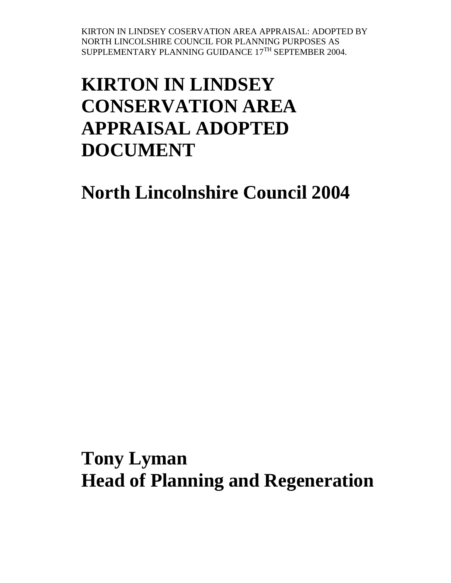# **KIRTON IN LINDSEY CONSERVATION AREA APPRAISAL ADOPTED DOCUMENT**

**North Lincolnshire Council 2004**

**Tony Lyman Head of Planning and Regeneration**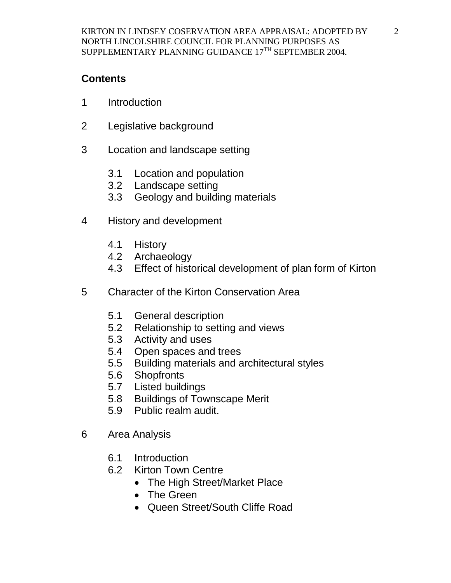## **Contents**

- 1 Introduction
- 2 Legislative background
- 3 Location and landscape setting
	- 3.1 Location and population
	- 3.2 Landscape setting
	- 3.3 Geology and building materials
- 4 History and development
	- 4.1 History
	- 4.2 Archaeology
	- 4.3 Effect of historical development of plan form of Kirton
- 5 Character of the Kirton Conservation Area
	- 5.1 General description
	- 5.2 Relationship to setting and views
	- 5.3 Activity and uses
	- 5.4 Open spaces and trees
	- 5.5 Building materials and architectural styles
	- 5.6 Shopfronts
	- 5.7 Listed buildings
	- 5.8 Buildings of Townscape Merit
	- 5.9 Public realm audit.
- 6 Area Analysis
	- 6.1 Introduction
	- 6.2 Kirton Town Centre
		- The High Street/Market Place
		- The Green
		- Queen Street/South Cliffe Road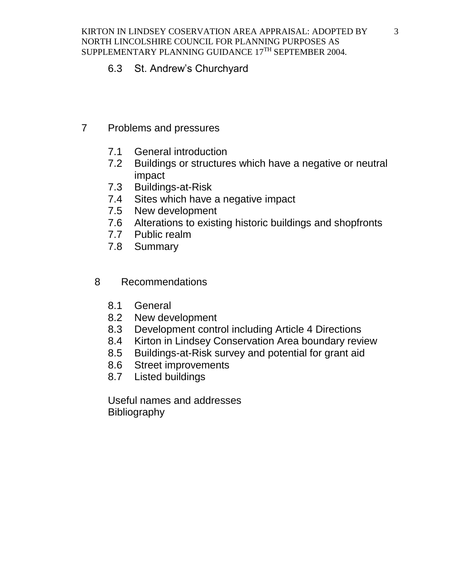#### 6.3 St. Andrew's Churchyard

- 7 Problems and pressures
	- 7.1 General introduction
	- 7.2 Buildings or structures which have a negative or neutral impact
	- 7.3 Buildings-at-Risk
	- 7.4 Sites which have a negative impact
	- 7.5 New development
	- 7.6 Alterations to existing historic buildings and shopfronts
	- 7.7 Public realm
	- 7.8 Summary
	- 8 Recommendations
		- 8.1 General
		- 8.2 New development
		- 8.3 Development control including Article 4 Directions
		- 8.4 Kirton in Lindsey Conservation Area boundary review
		- 8.5 Buildings-at-Risk survey and potential for grant aid
		- 8.6 Street improvements
		- 8.7 Listed buildings

Useful names and addresses Bibliography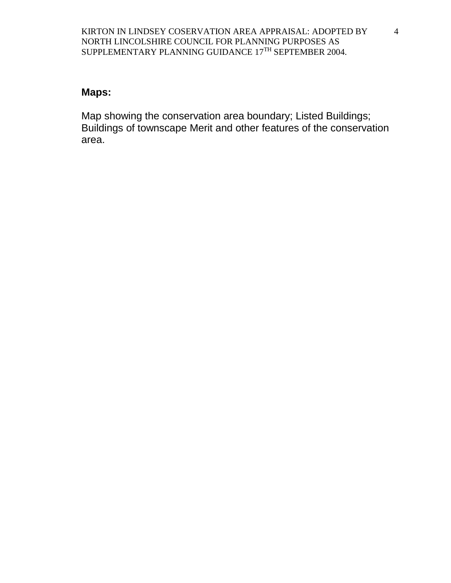#### **Maps:**

Map showing the conservation area boundary; Listed Buildings; Buildings of townscape Merit and other features of the conservation area.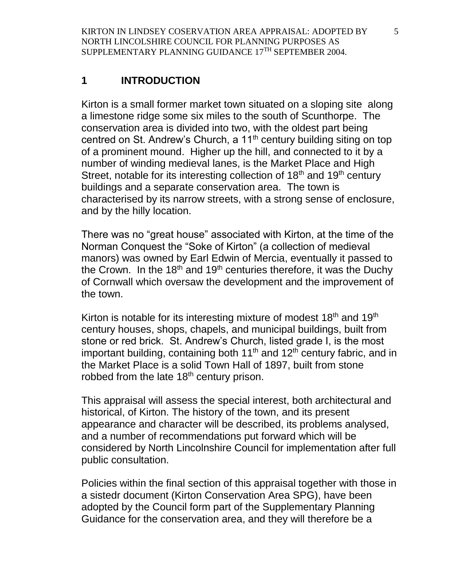# **1 INTRODUCTION**

Kirton is a small former market town situated on a sloping site along a limestone ridge some six miles to the south of Scunthorpe. The conservation area is divided into two, with the oldest part being centred on St. Andrew's Church, a 11<sup>th</sup> century building siting on top of a prominent mound. Higher up the hill, and connected to it by a number of winding medieval lanes, is the Market Place and High Street, notable for its interesting collection of  $18<sup>th</sup>$  and  $19<sup>th</sup>$  century buildings and a separate conservation area. The town is characterised by its narrow streets, with a strong sense of enclosure, and by the hilly location.

There was no "great house" associated with Kirton, at the time of the Norman Conquest the "Soke of Kirton" (a collection of medieval manors) was owned by Earl Edwin of Mercia, eventually it passed to the Crown. In the 18<sup>th</sup> and 19<sup>th</sup> centuries therefore, it was the Duchy of Cornwall which oversaw the development and the improvement of the town.

Kirton is notable for its interesting mixture of modest  $18<sup>th</sup>$  and  $19<sup>th</sup>$ century houses, shops, chapels, and municipal buildings, built from stone or red brick. St. Andrew's Church, listed grade I, is the most important building, containing both  $11<sup>th</sup>$  and  $12<sup>th</sup>$  century fabric, and in the Market Place is a solid Town Hall of 1897, built from stone robbed from the late  $18<sup>th</sup>$  century prison.

This appraisal will assess the special interest, both architectural and historical, of Kirton. The history of the town, and its present appearance and character will be described, its problems analysed, and a number of recommendations put forward which will be considered by North Lincolnshire Council for implementation after full public consultation.

Policies within the final section of this appraisal together with those in a sistedr document (Kirton Conservation Area SPG), have been adopted by the Council form part of the Supplementary Planning Guidance for the conservation area, and they will therefore be a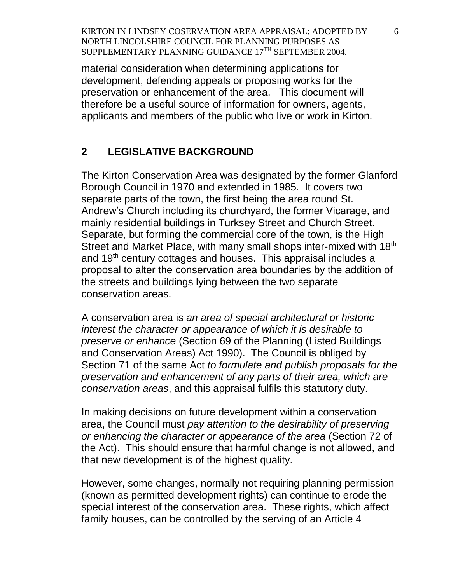material consideration when determining applications for development, defending appeals or proposing works for the preservation or enhancement of the area. This document will therefore be a useful source of information for owners, agents, applicants and members of the public who live or work in Kirton.

#### **2 LEGISLATIVE BACKGROUND**

The Kirton Conservation Area was designated by the former Glanford Borough Council in 1970 and extended in 1985. It covers two separate parts of the town, the first being the area round St. Andrew's Church including its churchyard, the former Vicarage, and mainly residential buildings in Turksey Street and Church Street. Separate, but forming the commercial core of the town, is the High Street and Market Place, with many small shops inter-mixed with 18th and 19<sup>th</sup> century cottages and houses. This appraisal includes a proposal to alter the conservation area boundaries by the addition of the streets and buildings lying between the two separate conservation areas.

A conservation area is *an area of special architectural or historic interest the character or appearance of which it is desirable to preserve or enhance* (Section 69 of the Planning (Listed Buildings and Conservation Areas) Act 1990). The Council is obliged by Section 71 of the same Act *to formulate and publish proposals for the preservation and enhancement of any parts of their area, which are conservation areas*, and this appraisal fulfils this statutory duty.

In making decisions on future development within a conservation area, the Council must *pay attention to the desirability of preserving or enhancing the character or appearance of the area* (Section 72 of the Act). This should ensure that harmful change is not allowed, and that new development is of the highest quality.

However, some changes, normally not requiring planning permission (known as permitted development rights) can continue to erode the special interest of the conservation area. These rights, which affect family houses, can be controlled by the serving of an Article 4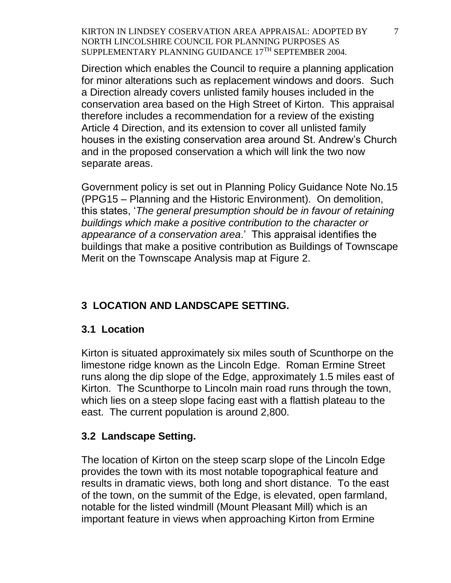Direction which enables the Council to require a planning application for minor alterations such as replacement windows and doors. Such a Direction already covers unlisted family houses included in the conservation area based on the High Street of Kirton. This appraisal therefore includes a recommendation for a review of the existing Article 4 Direction, and its extension to cover all unlisted family houses in the existing conservation area around St. Andrew's Church and in the proposed conservation a which will link the two now separate areas.

Government policy is set out in Planning Policy Guidance Note No.15 (PPG15 – Planning and the Historic Environment). On demolition, this states, '*The general presumption should be in favour of retaining buildings which make a positive contribution to the character or appearance of a conservation area*.' This appraisal identifies the buildings that make a positive contribution as Buildings of Townscape Merit on the Townscape Analysis map at Figure 2.

# **3 LOCATION AND LANDSCAPE SETTING.**

## **3.1 Location**

Kirton is situated approximately six miles south of Scunthorpe on the limestone ridge known as the Lincoln Edge. Roman Ermine Street runs along the dip slope of the Edge, approximately 1.5 miles east of Kirton. The Scunthorpe to Lincoln main road runs through the town, which lies on a steep slope facing east with a flattish plateau to the east. The current population is around 2,800.

## **3.2 Landscape Setting.**

The location of Kirton on the steep scarp slope of the Lincoln Edge provides the town with its most notable topographical feature and results in dramatic views, both long and short distance. To the east of the town, on the summit of the Edge, is elevated, open farmland, notable for the listed windmill (Mount Pleasant Mill) which is an important feature in views when approaching Kirton from Ermine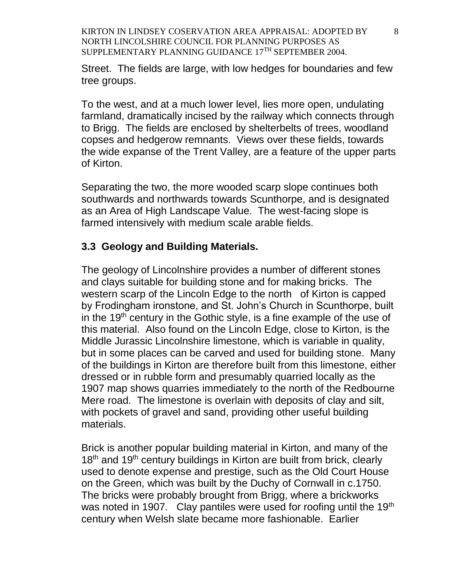Street. The fields are large, with low hedges for boundaries and few tree groups.

To the west, and at a much lower level, lies more open, undulating farmland, dramatically incised by the railway which connects through to Brigg. The fields are enclosed by shelterbelts of trees, woodland copses and hedgerow remnants. Views over these fields, towards the wide expanse of the Trent Valley, are a feature of the upper parts of Kirton.

Separating the two, the more wooded scarp slope continues both southwards and northwards towards Scunthorpe, and is designated as an Area of High Landscape Value. The west-facing slope is farmed intensively with medium scale arable fields.

#### **3.3 Geology and Building Materials.**

The geology of Lincolnshire provides a number of different stones and clays suitable for building stone and for making bricks. The western scarp of the Lincoln Edge to the north of Kirton is capped by Frodingham ironstone, and St. John's Church in Scunthorpe, built in the 19<sup>th</sup> century in the Gothic style, is a fine example of the use of this material. Also found on the Lincoln Edge, close to Kirton, is the Middle Jurassic Lincolnshire limestone, which is variable in quality, but in some places can be carved and used for building stone. Many of the buildings in Kirton are therefore built from this limestone, either dressed or in rubble form and presumably quarried locally as the 1907 map shows quarries immediately to the north of the Redbourne Mere road. The limestone is overlain with deposits of clay and silt, with pockets of gravel and sand, providing other useful building materials.

Brick is another popular building material in Kirton, and many of the 18<sup>th</sup> and 19<sup>th</sup> century buildings in Kirton are built from brick, clearly used to denote expense and prestige, such as the Old Court House on the Green, which was built by the Duchy of Cornwall in c.1750. The bricks were probably brought from Brigg, where a brickworks was noted in 1907. Clay pantiles were used for roofing until the 19<sup>th</sup> century when Welsh slate became more fashionable. Earlier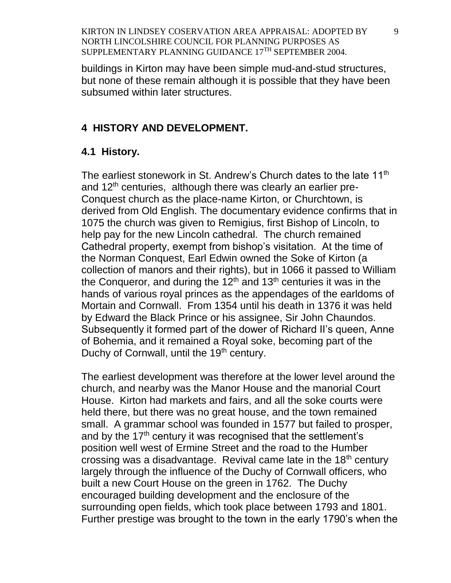buildings in Kirton may have been simple mud-and-stud structures, but none of these remain although it is possible that they have been subsumed within later structures.

#### **4 HISTORY AND DEVELOPMENT.**

#### **4.1 History.**

The earliest stonework in St. Andrew's Church dates to the late 11<sup>th</sup> and  $12<sup>th</sup>$  centuries, although there was clearly an earlier pre-Conquest church as the place-name Kirton, or Churchtown, is derived from Old English. The documentary evidence confirms that in 1075 the church was given to Remigius, first Bishop of Lincoln, to help pay for the new Lincoln cathedral. The church remained Cathedral property, exempt from bishop's visitation. At the time of the Norman Conquest, Earl Edwin owned the Soke of Kirton (a collection of manors and their rights), but in 1066 it passed to William the Conqueror, and during the  $12<sup>th</sup>$  and  $13<sup>th</sup>$  centuries it was in the hands of various royal princes as the appendages of the earldoms of Mortain and Cornwall. From 1354 until his death in 1376 it was held by Edward the Black Prince or his assignee, Sir John Chaundos. Subsequently it formed part of the dower of Richard II's queen, Anne of Bohemia, and it remained a Royal soke, becoming part of the Duchy of Cornwall, until the 19<sup>th</sup> century.

The earliest development was therefore at the lower level around the church, and nearby was the Manor House and the manorial Court House. Kirton had markets and fairs, and all the soke courts were held there, but there was no great house, and the town remained small. A grammar school was founded in 1577 but failed to prosper, and by the  $17<sup>th</sup>$  century it was recognised that the settlement's position well west of Ermine Street and the road to the Humber crossing was a disadvantage. Revival came late in the  $18<sup>th</sup>$  century largely through the influence of the Duchy of Cornwall officers, who built a new Court House on the green in 1762. The Duchy encouraged building development and the enclosure of the surrounding open fields, which took place between 1793 and 1801. Further prestige was brought to the town in the early 1790's when the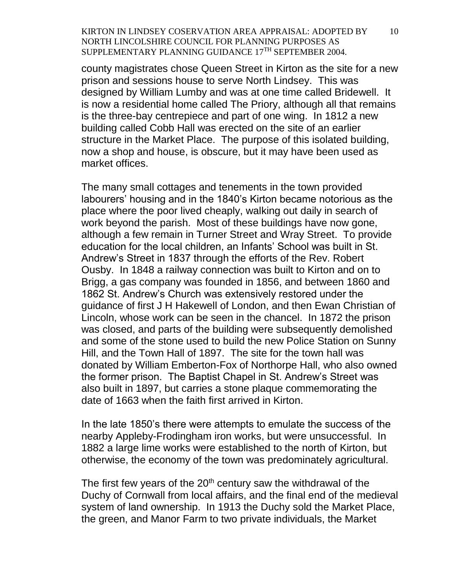county magistrates chose Queen Street in Kirton as the site for a new prison and sessions house to serve North Lindsey. This was designed by William Lumby and was at one time called Bridewell. It is now a residential home called The Priory, although all that remains is the three-bay centrepiece and part of one wing. In 1812 a new building called Cobb Hall was erected on the site of an earlier structure in the Market Place. The purpose of this isolated building, now a shop and house, is obscure, but it may have been used as market offices.

The many small cottages and tenements in the town provided labourers' housing and in the 1840's Kirton became notorious as the place where the poor lived cheaply, walking out daily in search of work beyond the parish. Most of these buildings have now gone, although a few remain in Turner Street and Wray Street. To provide education for the local children, an Infants' School was built in St. Andrew's Street in 1837 through the efforts of the Rev. Robert Ousby. In 1848 a railway connection was built to Kirton and on to Brigg, a gas company was founded in 1856, and between 1860 and 1862 St. Andrew's Church was extensively restored under the guidance of first J H Hakewell of London, and then Ewan Christian of Lincoln, whose work can be seen in the chancel. In 1872 the prison was closed, and parts of the building were subsequently demolished and some of the stone used to build the new Police Station on Sunny Hill, and the Town Hall of 1897. The site for the town hall was donated by William Emberton-Fox of Northorpe Hall, who also owned the former prison. The Baptist Chapel in St. Andrew's Street was also built in 1897, but carries a stone plaque commemorating the date of 1663 when the faith first arrived in Kirton.

In the late 1850's there were attempts to emulate the success of the nearby Appleby-Frodingham iron works, but were unsuccessful. In 1882 a large lime works were established to the north of Kirton, but otherwise, the economy of the town was predominately agricultural.

The first few years of the  $20<sup>th</sup>$  century saw the withdrawal of the Duchy of Cornwall from local affairs, and the final end of the medieval system of land ownership. In 1913 the Duchy sold the Market Place, the green, and Manor Farm to two private individuals, the Market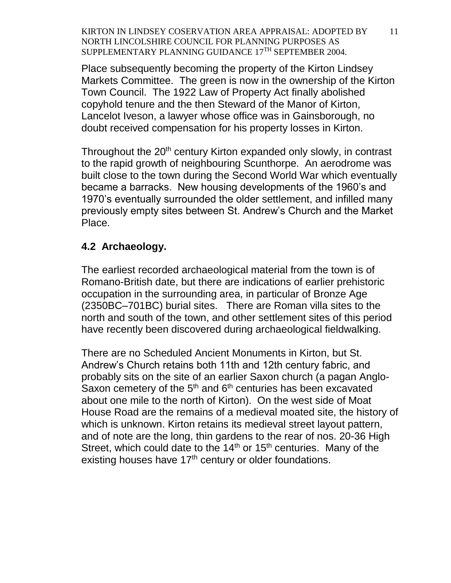Place subsequently becoming the property of the Kirton Lindsey Markets Committee. The green is now in the ownership of the Kirton Town Council. The 1922 Law of Property Act finally abolished copyhold tenure and the then Steward of the Manor of Kirton, Lancelot Iveson, a lawyer whose office was in Gainsborough, no doubt received compensation for his property losses in Kirton.

Throughout the 20<sup>th</sup> century Kirton expanded only slowly, in contrast to the rapid growth of neighbouring Scunthorpe. An aerodrome was built close to the town during the Second World War which eventually became a barracks. New housing developments of the 1960's and 1970's eventually surrounded the older settlement, and infilled many previously empty sites between St. Andrew's Church and the Market Place.

#### **4.2 Archaeology.**

The earliest recorded archaeological material from the town is of Romano-British date, but there are indications of earlier prehistoric occupation in the surrounding area, in particular of Bronze Age (2350BC–701BC) burial sites. There are Roman villa sites to the north and south of the town, and other settlement sites of this period have recently been discovered during archaeological fieldwalking.

There are no Scheduled Ancient Monuments in Kirton, but St. Andrew's Church retains both 11th and 12th century fabric, and probably sits on the site of an earlier Saxon church (a pagan Anglo-Saxon cemetery of the  $5<sup>th</sup>$  and  $6<sup>th</sup>$  centuries has been excavated about one mile to the north of Kirton). On the west side of Moat House Road are the remains of a medieval moated site, the history of which is unknown. Kirton retains its medieval street layout pattern, and of note are the long, thin gardens to the rear of nos. 20-36 High Street, which could date to the  $14<sup>th</sup>$  or  $15<sup>th</sup>$  centuries. Many of the existing houses have  $17<sup>th</sup>$  century or older foundations.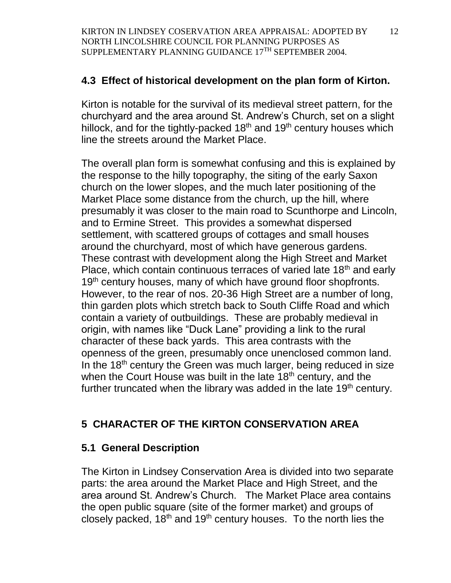# **4.3 Effect of historical development on the plan form of Kirton.**

Kirton is notable for the survival of its medieval street pattern, for the churchyard and the area around St. Andrew's Church, set on a slight hillock, and for the tightly-packed  $18<sup>th</sup>$  and  $19<sup>th</sup>$  century houses which line the streets around the Market Place.

The overall plan form is somewhat confusing and this is explained by the response to the hilly topography, the siting of the early Saxon church on the lower slopes, and the much later positioning of the Market Place some distance from the church, up the hill, where presumably it was closer to the main road to Scunthorpe and Lincoln, and to Ermine Street. This provides a somewhat dispersed settlement, with scattered groups of cottages and small houses around the churchyard, most of which have generous gardens. These contrast with development along the High Street and Market Place, which contain continuous terraces of varied late 18<sup>th</sup> and early 19<sup>th</sup> century houses, many of which have ground floor shopfronts. However, to the rear of nos. 20-36 High Street are a number of long, thin garden plots which stretch back to South Cliffe Road and which contain a variety of outbuildings. These are probably medieval in origin, with names like "Duck Lane" providing a link to the rural character of these back yards. This area contrasts with the openness of the green, presumably once unenclosed common land. In the  $18<sup>th</sup>$  century the Green was much larger, being reduced in size when the Court House was built in the late  $18<sup>th</sup>$  century, and the further truncated when the library was added in the late 19<sup>th</sup> century.

# **5 CHARACTER OF THE KIRTON CONSERVATION AREA**

## **5.1 General Description**

The Kirton in Lindsey Conservation Area is divided into two separate parts: the area around the Market Place and High Street, and the area around St. Andrew's Church. The Market Place area contains the open public square (site of the former market) and groups of closely packed,  $18<sup>th</sup>$  and  $19<sup>th</sup>$  century houses. To the north lies the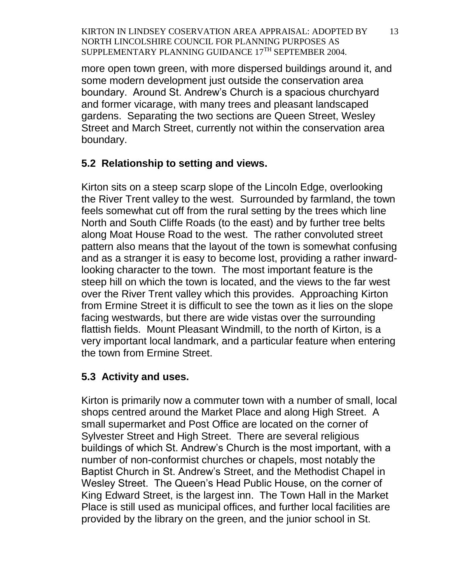more open town green, with more dispersed buildings around it, and some modern development just outside the conservation area boundary. Around St. Andrew's Church is a spacious churchyard and former vicarage, with many trees and pleasant landscaped gardens. Separating the two sections are Queen Street, Wesley Street and March Street, currently not within the conservation area boundary.

# **5.2 Relationship to setting and views.**

Kirton sits on a steep scarp slope of the Lincoln Edge, overlooking the River Trent valley to the west. Surrounded by farmland, the town feels somewhat cut off from the rural setting by the trees which line North and South Cliffe Roads (to the east) and by further tree belts along Moat House Road to the west. The rather convoluted street pattern also means that the layout of the town is somewhat confusing and as a stranger it is easy to become lost, providing a rather inwardlooking character to the town. The most important feature is the steep hill on which the town is located, and the views to the far west over the River Trent valley which this provides. Approaching Kirton from Ermine Street it is difficult to see the town as it lies on the slope facing westwards, but there are wide vistas over the surrounding flattish fields. Mount Pleasant Windmill, to the north of Kirton, is a very important local landmark, and a particular feature when entering the town from Ermine Street.

# **5.3 Activity and uses.**

Kirton is primarily now a commuter town with a number of small, local shops centred around the Market Place and along High Street. A small supermarket and Post Office are located on the corner of Sylvester Street and High Street. There are several religious buildings of which St. Andrew's Church is the most important, with a number of non-conformist churches or chapels, most notably the Baptist Church in St. Andrew's Street, and the Methodist Chapel in Wesley Street. The Queen's Head Public House, on the corner of King Edward Street, is the largest inn. The Town Hall in the Market Place is still used as municipal offices, and further local facilities are provided by the library on the green, and the junior school in St.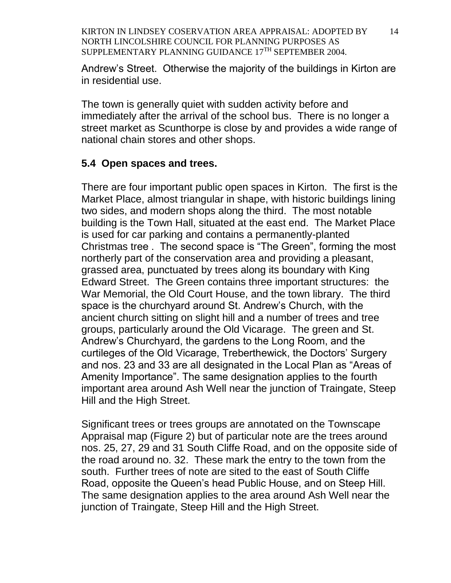Andrew's Street. Otherwise the majority of the buildings in Kirton are in residential use.

The town is generally quiet with sudden activity before and immediately after the arrival of the school bus. There is no longer a street market as Scunthorpe is close by and provides a wide range of national chain stores and other shops.

#### **5.4 Open spaces and trees.**

There are four important public open spaces in Kirton. The first is the Market Place, almost triangular in shape, with historic buildings lining two sides, and modern shops along the third. The most notable building is the Town Hall, situated at the east end. The Market Place is used for car parking and contains a permanently-planted Christmas tree . The second space is "The Green", forming the most northerly part of the conservation area and providing a pleasant, grassed area, punctuated by trees along its boundary with King Edward Street. The Green contains three important structures: the War Memorial, the Old Court House, and the town library. The third space is the churchyard around St. Andrew's Church, with the ancient church sitting on slight hill and a number of trees and tree groups, particularly around the Old Vicarage. The green and St. Andrew's Churchyard, the gardens to the Long Room, and the curtileges of the Old Vicarage, Treberthewick, the Doctors' Surgery and nos. 23 and 33 are all designated in the Local Plan as "Areas of Amenity Importance". The same designation applies to the fourth important area around Ash Well near the junction of Traingate, Steep Hill and the High Street.

Significant trees or trees groups are annotated on the Townscape Appraisal map (Figure 2) but of particular note are the trees around nos. 25, 27, 29 and 31 South Cliffe Road, and on the opposite side of the road around no. 32. These mark the entry to the town from the south. Further trees of note are sited to the east of South Cliffe Road, opposite the Queen's head Public House, and on Steep Hill. The same designation applies to the area around Ash Well near the junction of Traingate, Steep Hill and the High Street.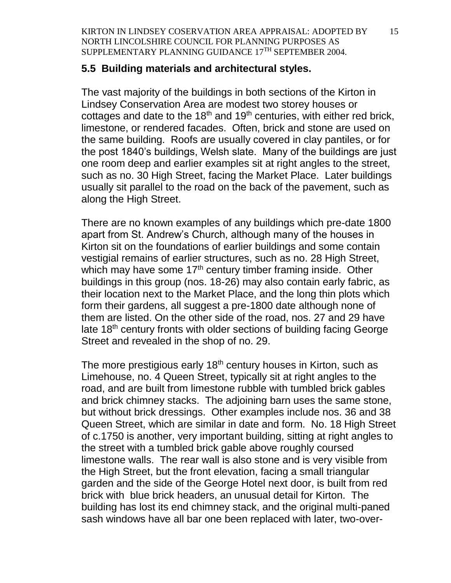#### **5.5 Building materials and architectural styles.**

The vast majority of the buildings in both sections of the Kirton in Lindsey Conservation Area are modest two storey houses or cottages and date to the  $18<sup>th</sup>$  and  $19<sup>th</sup>$  centuries, with either red brick, limestone, or rendered facades. Often, brick and stone are used on the same building. Roofs are usually covered in clay pantiles, or for the post 1840's buildings, Welsh slate. Many of the buildings are just one room deep and earlier examples sit at right angles to the street, such as no. 30 High Street, facing the Market Place. Later buildings usually sit parallel to the road on the back of the pavement, such as along the High Street.

There are no known examples of any buildings which pre-date 1800 apart from St. Andrew's Church, although many of the houses in Kirton sit on the foundations of earlier buildings and some contain vestigial remains of earlier structures, such as no. 28 High Street, which may have some  $17<sup>th</sup>$  century timber framing inside. Other buildings in this group (nos. 18-26) may also contain early fabric, as their location next to the Market Place, and the long thin plots which form their gardens, all suggest a pre-1800 date although none of them are listed. On the other side of the road, nos. 27 and 29 have late 18<sup>th</sup> century fronts with older sections of building facing George Street and revealed in the shop of no. 29.

The more prestigious early 18<sup>th</sup> century houses in Kirton, such as Limehouse, no. 4 Queen Street, typically sit at right angles to the road, and are built from limestone rubble with tumbled brick gables and brick chimney stacks. The adjoining barn uses the same stone, but without brick dressings. Other examples include nos. 36 and 38 Queen Street, which are similar in date and form. No. 18 High Street of c.1750 is another, very important building, sitting at right angles to the street with a tumbled brick gable above roughly coursed limestone walls. The rear wall is also stone and is very visible from the High Street, but the front elevation, facing a small triangular garden and the side of the George Hotel next door, is built from red brick with blue brick headers, an unusual detail for Kirton. The building has lost its end chimney stack, and the original multi-paned sash windows have all bar one been replaced with later, two-over-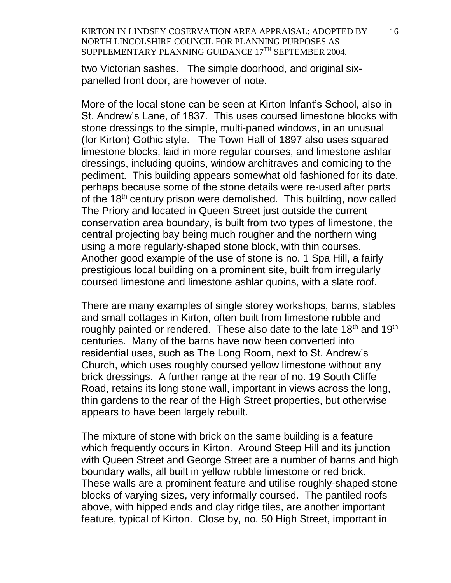two Victorian sashes. The simple doorhood, and original sixpanelled front door, are however of note.

More of the local stone can be seen at Kirton Infant's School, also in St. Andrew's Lane, of 1837. This uses coursed limestone blocks with stone dressings to the simple, multi-paned windows, in an unusual (for Kirton) Gothic style. The Town Hall of 1897 also uses squared limestone blocks, laid in more regular courses, and limestone ashlar dressings, including quoins, window architraves and cornicing to the pediment. This building appears somewhat old fashioned for its date, perhaps because some of the stone details were re-used after parts of the 18<sup>th</sup> century prison were demolished. This building, now called The Priory and located in Queen Street just outside the current conservation area boundary, is built from two types of limestone, the central projecting bay being much rougher and the northern wing using a more regularly-shaped stone block, with thin courses. Another good example of the use of stone is no. 1 Spa Hill, a fairly prestigious local building on a prominent site, built from irregularly coursed limestone and limestone ashlar quoins, with a slate roof.

There are many examples of single storey workshops, barns, stables and small cottages in Kirton, often built from limestone rubble and roughly painted or rendered. These also date to the late 18<sup>th</sup> and 19<sup>th</sup> centuries. Many of the barns have now been converted into residential uses, such as The Long Room, next to St. Andrew's Church, which uses roughly coursed yellow limestone without any brick dressings. A further range at the rear of no. 19 South Cliffe Road, retains its long stone wall, important in views across the long, thin gardens to the rear of the High Street properties, but otherwise appears to have been largely rebuilt.

The mixture of stone with brick on the same building is a feature which frequently occurs in Kirton. Around Steep Hill and its junction with Queen Street and George Street are a number of barns and high boundary walls, all built in yellow rubble limestone or red brick. These walls are a prominent feature and utilise roughly-shaped stone blocks of varying sizes, very informally coursed. The pantiled roofs above, with hipped ends and clay ridge tiles, are another important feature, typical of Kirton. Close by, no. 50 High Street, important in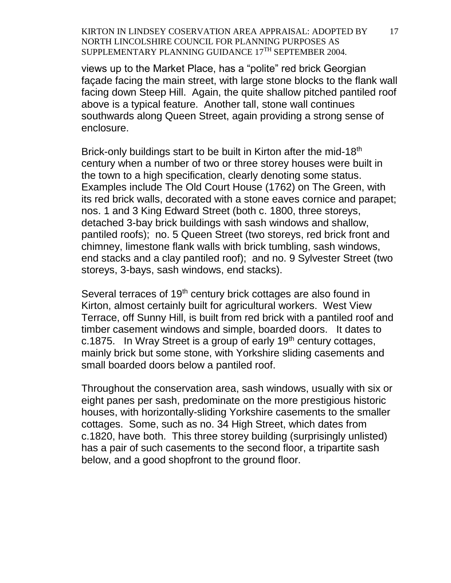views up to the Market Place, has a "polite" red brick Georgian façade facing the main street, with large stone blocks to the flank wall facing down Steep Hill. Again, the quite shallow pitched pantiled roof above is a typical feature. Another tall, stone wall continues southwards along Queen Street, again providing a strong sense of enclosure.

Brick-only buildings start to be built in Kirton after the mid-18<sup>th</sup> century when a number of two or three storey houses were built in the town to a high specification, clearly denoting some status. Examples include The Old Court House (1762) on The Green, with its red brick walls, decorated with a stone eaves cornice and parapet; nos. 1 and 3 King Edward Street (both c. 1800, three storeys, detached 3-bay brick buildings with sash windows and shallow, pantiled roofs); no. 5 Queen Street (two storeys, red brick front and chimney, limestone flank walls with brick tumbling, sash windows, end stacks and a clay pantiled roof); and no. 9 Sylvester Street (two storeys, 3-bays, sash windows, end stacks).

Several terraces of 19<sup>th</sup> century brick cottages are also found in Kirton, almost certainly built for agricultural workers. West View Terrace, off Sunny Hill, is built from red brick with a pantiled roof and timber casement windows and simple, boarded doors. It dates to c.1875. In Wray Street is a group of early  $19<sup>th</sup>$  century cottages, mainly brick but some stone, with Yorkshire sliding casements and small boarded doors below a pantiled roof.

Throughout the conservation area, sash windows, usually with six or eight panes per sash, predominate on the more prestigious historic houses, with horizontally-sliding Yorkshire casements to the smaller cottages. Some, such as no. 34 High Street, which dates from c.1820, have both. This three storey building (surprisingly unlisted) has a pair of such casements to the second floor, a tripartite sash below, and a good shopfront to the ground floor.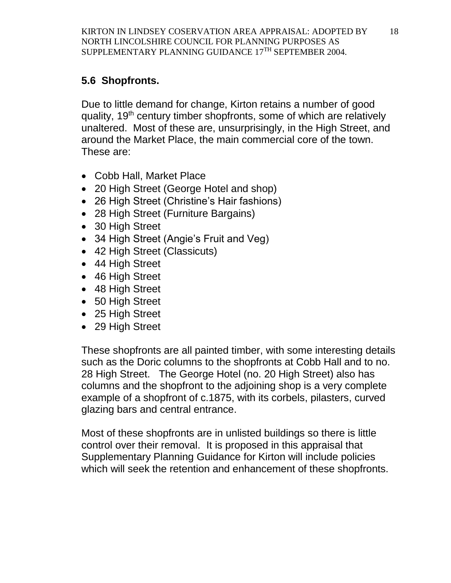# **5.6 Shopfronts.**

Due to little demand for change, Kirton retains a number of good quality, 19<sup>th</sup> century timber shopfronts, some of which are relatively unaltered. Most of these are, unsurprisingly, in the High Street, and around the Market Place, the main commercial core of the town. These are:

- Cobb Hall, Market Place
- 20 High Street (George Hotel and shop)
- 26 High Street (Christine's Hair fashions)
- 28 High Street (Furniture Bargains)
- 30 High Street
- 34 High Street (Angie's Fruit and Veg)
- 42 High Street (Classicuts)
- 44 High Street
- 46 High Street
- 48 High Street
- 50 High Street
- 25 High Street
- 29 High Street

These shopfronts are all painted timber, with some interesting details such as the Doric columns to the shopfronts at Cobb Hall and to no. 28 High Street. The George Hotel (no. 20 High Street) also has columns and the shopfront to the adjoining shop is a very complete example of a shopfront of c.1875, with its corbels, pilasters, curved glazing bars and central entrance.

Most of these shopfronts are in unlisted buildings so there is little control over their removal. It is proposed in this appraisal that Supplementary Planning Guidance for Kirton will include policies which will seek the retention and enhancement of these shopfronts.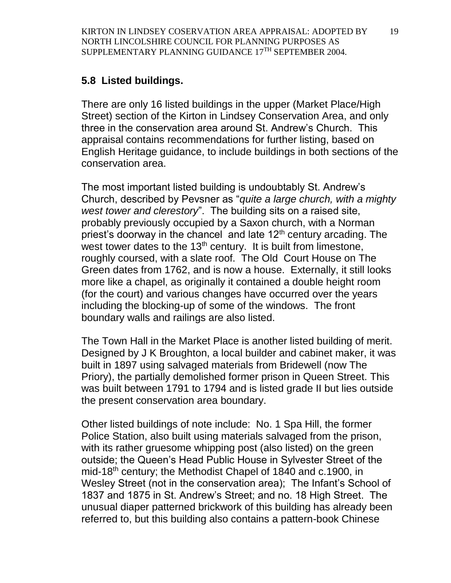#### **5.8 Listed buildings.**

There are only 16 listed buildings in the upper (Market Place/High Street) section of the Kirton in Lindsey Conservation Area, and only three in the conservation area around St. Andrew's Church. This appraisal contains recommendations for further listing, based on English Heritage guidance, to include buildings in both sections of the conservation area.

The most important listed building is undoubtably St. Andrew's Church, described by Pevsner as "*quite a large church, with a mighty west tower and clerestory*". The building sits on a raised site, probably previously occupied by a Saxon church, with a Norman priest's doorway in the chancel and late  $12<sup>th</sup>$  century arcading. The west tower dates to the  $13<sup>th</sup>$  century. It is built from limestone, roughly coursed, with a slate roof. The Old Court House on The Green dates from 1762, and is now a house. Externally, it still looks more like a chapel, as originally it contained a double height room (for the court) and various changes have occurred over the years including the blocking-up of some of the windows. The front boundary walls and railings are also listed.

The Town Hall in the Market Place is another listed building of merit. Designed by J K Broughton, a local builder and cabinet maker, it was built in 1897 using salvaged materials from Bridewell (now The Priory), the partially demolished former prison in Queen Street. This was built between 1791 to 1794 and is listed grade II but lies outside the present conservation area boundary.

Other listed buildings of note include: No. 1 Spa Hill, the former Police Station, also built using materials salvaged from the prison, with its rather gruesome whipping post (also listed) on the green outside; the Queen's Head Public House in Sylvester Street of the mid-18<sup>th</sup> century; the Methodist Chapel of 1840 and c.1900, in Wesley Street (not in the conservation area); The Infant's School of 1837 and 1875 in St. Andrew's Street; and no. 18 High Street. The unusual diaper patterned brickwork of this building has already been referred to, but this building also contains a pattern-book Chinese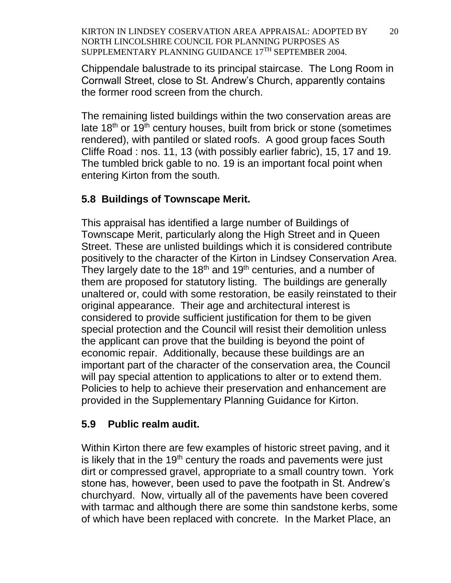Chippendale balustrade to its principal staircase. The Long Room in Cornwall Street, close to St. Andrew's Church, apparently contains the former rood screen from the church.

The remaining listed buildings within the two conservation areas are late  $18<sup>th</sup>$  or  $19<sup>th</sup>$  century houses, built from brick or stone (sometimes rendered), with pantiled or slated roofs. A good group faces South Cliffe Road : nos. 11, 13 (with possibly earlier fabric), 15, 17 and 19. The tumbled brick gable to no. 19 is an important focal point when entering Kirton from the south.

# **5.8 Buildings of Townscape Merit.**

This appraisal has identified a large number of Buildings of Townscape Merit, particularly along the High Street and in Queen Street. These are unlisted buildings which it is considered contribute positively to the character of the Kirton in Lindsey Conservation Area. They largely date to the  $18<sup>th</sup>$  and  $19<sup>th</sup>$  centuries, and a number of them are proposed for statutory listing. The buildings are generally unaltered or, could with some restoration, be easily reinstated to their original appearance. Their age and architectural interest is considered to provide sufficient justification for them to be given special protection and the Council will resist their demolition unless the applicant can prove that the building is beyond the point of economic repair. Additionally, because these buildings are an important part of the character of the conservation area, the Council will pay special attention to applications to alter or to extend them. Policies to help to achieve their preservation and enhancement are provided in the Supplementary Planning Guidance for Kirton.

# **5.9 Public realm audit.**

Within Kirton there are few examples of historic street paving, and it is likely that in the  $19<sup>th</sup>$  century the roads and pavements were just dirt or compressed gravel, appropriate to a small country town. York stone has, however, been used to pave the footpath in St. Andrew's churchyard. Now, virtually all of the pavements have been covered with tarmac and although there are some thin sandstone kerbs, some of which have been replaced with concrete. In the Market Place, an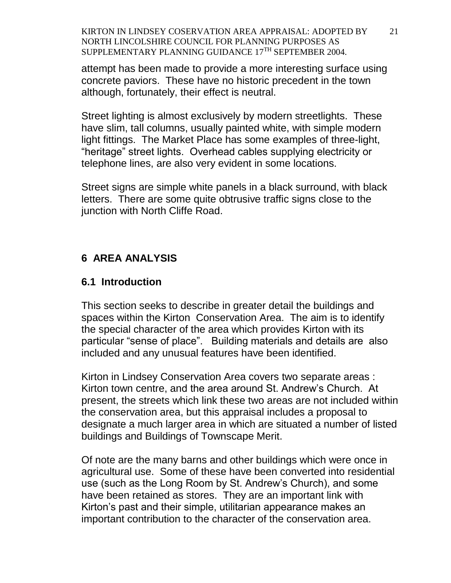attempt has been made to provide a more interesting surface using concrete paviors. These have no historic precedent in the town although, fortunately, their effect is neutral.

Street lighting is almost exclusively by modern streetlights. These have slim, tall columns, usually painted white, with simple modern light fittings. The Market Place has some examples of three-light, "heritage" street lights. Overhead cables supplying electricity or telephone lines, are also very evident in some locations.

Street signs are simple white panels in a black surround, with black letters. There are some quite obtrusive traffic signs close to the junction with North Cliffe Road.

# **6 AREA ANALYSIS**

#### **6.1 Introduction**

This section seeks to describe in greater detail the buildings and spaces within the Kirton Conservation Area. The aim is to identify the special character of the area which provides Kirton with its particular "sense of place". Building materials and details are also included and any unusual features have been identified.

Kirton in Lindsey Conservation Area covers two separate areas : Kirton town centre, and the area around St. Andrew's Church. At present, the streets which link these two areas are not included within the conservation area, but this appraisal includes a proposal to designate a much larger area in which are situated a number of listed buildings and Buildings of Townscape Merit.

Of note are the many barns and other buildings which were once in agricultural use. Some of these have been converted into residential use (such as the Long Room by St. Andrew's Church), and some have been retained as stores. They are an important link with Kirton's past and their simple, utilitarian appearance makes an important contribution to the character of the conservation area.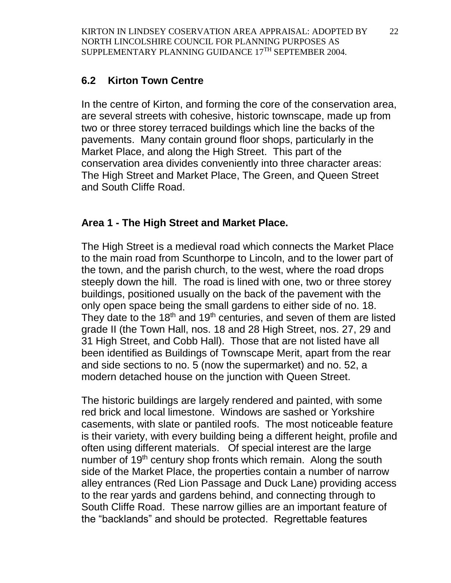#### **6.2 Kirton Town Centre**

In the centre of Kirton, and forming the core of the conservation area, are several streets with cohesive, historic townscape, made up from two or three storey terraced buildings which line the backs of the pavements. Many contain ground floor shops, particularly in the Market Place, and along the High Street. This part of the conservation area divides conveniently into three character areas: The High Street and Market Place, The Green, and Queen Street and South Cliffe Road.

#### **Area 1 - The High Street and Market Place.**

The High Street is a medieval road which connects the Market Place to the main road from Scunthorpe to Lincoln, and to the lower part of the town, and the parish church, to the west, where the road drops steeply down the hill. The road is lined with one, two or three storey buildings, positioned usually on the back of the pavement with the only open space being the small gardens to either side of no. 18. They date to the  $18<sup>th</sup>$  and  $19<sup>th</sup>$  centuries, and seven of them are listed grade II (the Town Hall, nos. 18 and 28 High Street, nos. 27, 29 and 31 High Street, and Cobb Hall). Those that are not listed have all been identified as Buildings of Townscape Merit, apart from the rear and side sections to no. 5 (now the supermarket) and no. 52, a modern detached house on the junction with Queen Street.

The historic buildings are largely rendered and painted, with some red brick and local limestone. Windows are sashed or Yorkshire casements, with slate or pantiled roofs. The most noticeable feature is their variety, with every building being a different height, profile and often using different materials. Of special interest are the large number of 19<sup>th</sup> century shop fronts which remain. Along the south side of the Market Place, the properties contain a number of narrow alley entrances (Red Lion Passage and Duck Lane) providing access to the rear yards and gardens behind, and connecting through to South Cliffe Road. These narrow gillies are an important feature of the "backlands" and should be protected. Regrettable features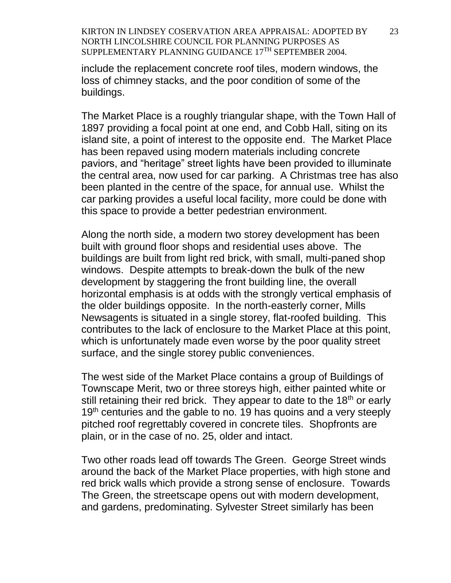include the replacement concrete roof tiles, modern windows, the loss of chimney stacks, and the poor condition of some of the buildings.

The Market Place is a roughly triangular shape, with the Town Hall of 1897 providing a focal point at one end, and Cobb Hall, siting on its island site, a point of interest to the opposite end. The Market Place has been repaved using modern materials including concrete paviors, and "heritage" street lights have been provided to illuminate the central area, now used for car parking. A Christmas tree has also been planted in the centre of the space, for annual use. Whilst the car parking provides a useful local facility, more could be done with this space to provide a better pedestrian environment.

Along the north side, a modern two storey development has been built with ground floor shops and residential uses above. The buildings are built from light red brick, with small, multi-paned shop windows. Despite attempts to break-down the bulk of the new development by staggering the front building line, the overall horizontal emphasis is at odds with the strongly vertical emphasis of the older buildings opposite. In the north-easterly corner, Mills Newsagents is situated in a single storey, flat-roofed building. This contributes to the lack of enclosure to the Market Place at this point, which is unfortunately made even worse by the poor quality street surface, and the single storey public conveniences.

The west side of the Market Place contains a group of Buildings of Townscape Merit, two or three storeys high, either painted white or still retaining their red brick. They appear to date to the  $18<sup>th</sup>$  or early 19<sup>th</sup> centuries and the gable to no. 19 has quoins and a very steeply pitched roof regrettably covered in concrete tiles. Shopfronts are plain, or in the case of no. 25, older and intact.

Two other roads lead off towards The Green. George Street winds around the back of the Market Place properties, with high stone and red brick walls which provide a strong sense of enclosure. Towards The Green, the streetscape opens out with modern development, and gardens, predominating. Sylvester Street similarly has been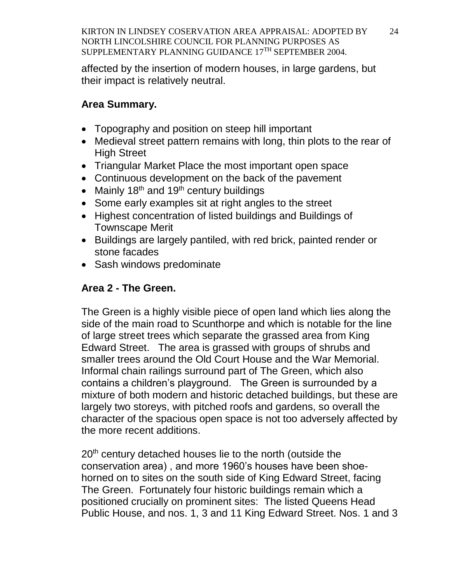affected by the insertion of modern houses, in large gardens, but their impact is relatively neutral.

# **Area Summary.**

- Topography and position on steep hill important
- Medieval street pattern remains with long, thin plots to the rear of High Street
- Triangular Market Place the most important open space
- Continuous development on the back of the pavement
- Mainly  $18<sup>th</sup>$  and  $19<sup>th</sup>$  century buildings
- Some early examples sit at right angles to the street
- Highest concentration of listed buildings and Buildings of Townscape Merit
- Buildings are largely pantiled, with red brick, painted render or stone facades
- Sash windows predominate

# **Area 2 - The Green.**

The Green is a highly visible piece of open land which lies along the side of the main road to Scunthorpe and which is notable for the line of large street trees which separate the grassed area from King Edward Street. The area is grassed with groups of shrubs and smaller trees around the Old Court House and the War Memorial. Informal chain railings surround part of The Green, which also contains a children's playground. The Green is surrounded by a mixture of both modern and historic detached buildings, but these are largely two storeys, with pitched roofs and gardens, so overall the character of the spacious open space is not too adversely affected by the more recent additions.

20<sup>th</sup> century detached houses lie to the north (outside the conservation area) , and more 1960's houses have been shoehorned on to sites on the south side of King Edward Street, facing The Green. Fortunately four historic buildings remain which a positioned crucially on prominent sites: The listed Queens Head Public House, and nos. 1, 3 and 11 King Edward Street. Nos. 1 and 3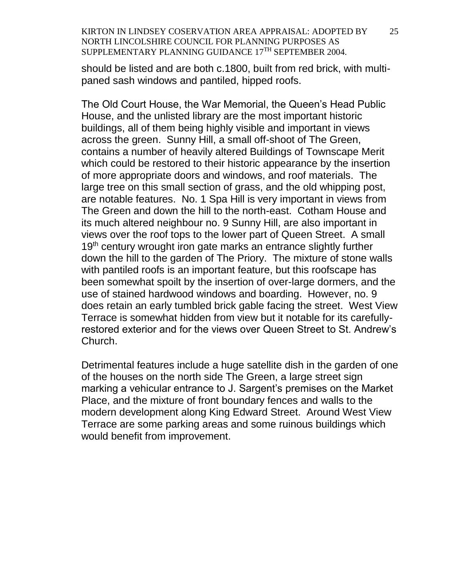should be listed and are both c.1800, built from red brick, with multipaned sash windows and pantiled, hipped roofs.

The Old Court House, the War Memorial, the Queen's Head Public House, and the unlisted library are the most important historic buildings, all of them being highly visible and important in views across the green. Sunny Hill, a small off-shoot of The Green, contains a number of heavily altered Buildings of Townscape Merit which could be restored to their historic appearance by the insertion of more appropriate doors and windows, and roof materials. The large tree on this small section of grass, and the old whipping post, are notable features. No. 1 Spa Hill is very important in views from The Green and down the hill to the north-east. Cotham House and its much altered neighbour no. 9 Sunny Hill, are also important in views over the roof tops to the lower part of Queen Street. A small 19<sup>th</sup> century wrought iron gate marks an entrance slightly further down the hill to the garden of The Priory. The mixture of stone walls with pantiled roofs is an important feature, but this roofscape has been somewhat spoilt by the insertion of over-large dormers, and the use of stained hardwood windows and boarding. However, no. 9 does retain an early tumbled brick gable facing the street. West View Terrace is somewhat hidden from view but it notable for its carefullyrestored exterior and for the views over Queen Street to St. Andrew's Church.

Detrimental features include a huge satellite dish in the garden of one of the houses on the north side The Green, a large street sign marking a vehicular entrance to J. Sargent's premises on the Market Place, and the mixture of front boundary fences and walls to the modern development along King Edward Street. Around West View Terrace are some parking areas and some ruinous buildings which would benefit from improvement.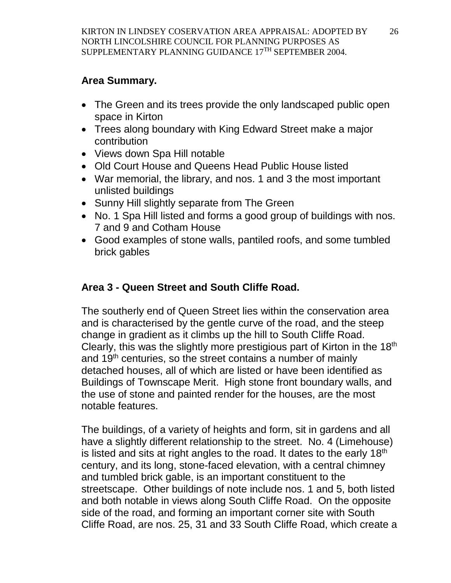# **Area Summary.**

- The Green and its trees provide the only landscaped public open space in Kirton
- Trees along boundary with King Edward Street make a major contribution
- Views down Spa Hill notable
- Old Court House and Queens Head Public House listed
- War memorial, the library, and nos. 1 and 3 the most important unlisted buildings
- Sunny Hill slightly separate from The Green
- No. 1 Spa Hill listed and forms a good group of buildings with nos. 7 and 9 and Cotham House
- Good examples of stone walls, pantiled roofs, and some tumbled brick gables

# **Area 3 - Queen Street and South Cliffe Road.**

The southerly end of Queen Street lies within the conservation area and is characterised by the gentle curve of the road, and the steep change in gradient as it climbs up the hill to South Cliffe Road. Clearly, this was the slightly more prestigious part of Kirton in the  $18<sup>th</sup>$ and  $19<sup>th</sup>$  centuries, so the street contains a number of mainly detached houses, all of which are listed or have been identified as Buildings of Townscape Merit. High stone front boundary walls, and the use of stone and painted render for the houses, are the most notable features.

The buildings, of a variety of heights and form, sit in gardens and all have a slightly different relationship to the street. No. 4 (Limehouse) is listed and sits at right angles to the road. It dates to the early 18<sup>th</sup> century, and its long, stone-faced elevation, with a central chimney and tumbled brick gable, is an important constituent to the streetscape. Other buildings of note include nos. 1 and 5, both listed and both notable in views along South Cliffe Road. On the opposite side of the road, and forming an important corner site with South Cliffe Road, are nos. 25, 31 and 33 South Cliffe Road, which create a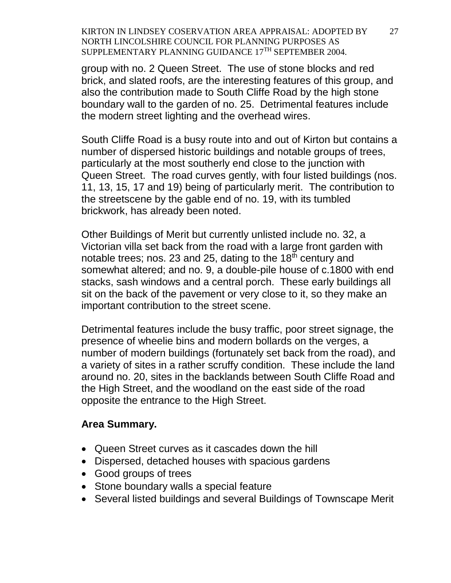group with no. 2 Queen Street. The use of stone blocks and red brick, and slated roofs, are the interesting features of this group, and also the contribution made to South Cliffe Road by the high stone boundary wall to the garden of no. 25. Detrimental features include the modern street lighting and the overhead wires.

South Cliffe Road is a busy route into and out of Kirton but contains a number of dispersed historic buildings and notable groups of trees, particularly at the most southerly end close to the junction with Queen Street. The road curves gently, with four listed buildings (nos. 11, 13, 15, 17 and 19) being of particularly merit. The contribution to the streetscene by the gable end of no. 19, with its tumbled brickwork, has already been noted.

Other Buildings of Merit but currently unlisted include no. 32, a Victorian villa set back from the road with a large front garden with notable trees; nos. 23 and 25, dating to the  $18<sup>th</sup>$  century and somewhat altered; and no. 9, a double-pile house of c.1800 with end stacks, sash windows and a central porch. These early buildings all sit on the back of the pavement or very close to it, so they make an important contribution to the street scene.

Detrimental features include the busy traffic, poor street signage, the presence of wheelie bins and modern bollards on the verges, a number of modern buildings (fortunately set back from the road), and a variety of sites in a rather scruffy condition. These include the land around no. 20, sites in the backlands between South Cliffe Road and the High Street, and the woodland on the east side of the road opposite the entrance to the High Street.

#### **Area Summary.**

- Queen Street curves as it cascades down the hill
- Dispersed, detached houses with spacious gardens
- Good groups of trees
- Stone boundary walls a special feature
- Several listed buildings and several Buildings of Townscape Merit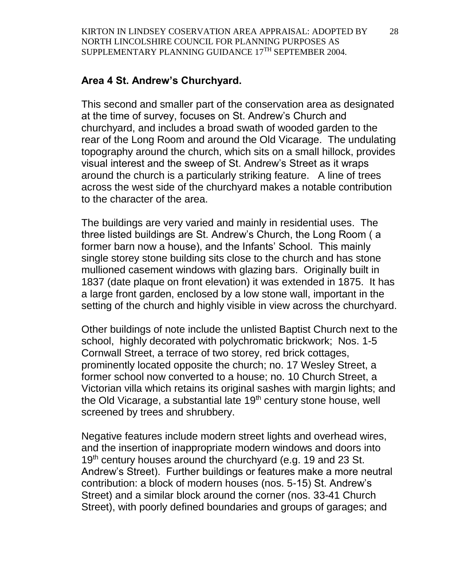## **Area 4 St. Andrew's Churchyard.**

This second and smaller part of the conservation area as designated at the time of survey, focuses on St. Andrew's Church and churchyard, and includes a broad swath of wooded garden to the rear of the Long Room and around the Old Vicarage. The undulating topography around the church, which sits on a small hillock, provides visual interest and the sweep of St. Andrew's Street as it wraps around the church is a particularly striking feature. A line of trees across the west side of the churchyard makes a notable contribution to the character of the area.

The buildings are very varied and mainly in residential uses. The three listed buildings are St. Andrew's Church, the Long Room ( a former barn now a house), and the Infants' School. This mainly single storey stone building sits close to the church and has stone mullioned casement windows with glazing bars. Originally built in 1837 (date plaque on front elevation) it was extended in 1875. It has a large front garden, enclosed by a low stone wall, important in the setting of the church and highly visible in view across the churchyard.

Other buildings of note include the unlisted Baptist Church next to the school, highly decorated with polychromatic brickwork; Nos. 1-5 Cornwall Street, a terrace of two storey, red brick cottages, prominently located opposite the church; no. 17 Wesley Street, a former school now converted to a house; no. 10 Church Street, a Victorian villa which retains its original sashes with margin lights; and the Old Vicarage, a substantial late 19<sup>th</sup> century stone house, well screened by trees and shrubbery.

Negative features include modern street lights and overhead wires, and the insertion of inappropriate modern windows and doors into 19<sup>th</sup> century houses around the churchyard (e.g. 19 and 23 St. Andrew's Street). Further buildings or features make a more neutral contribution: a block of modern houses (nos. 5-15) St. Andrew's Street) and a similar block around the corner (nos. 33-41 Church Street), with poorly defined boundaries and groups of garages; and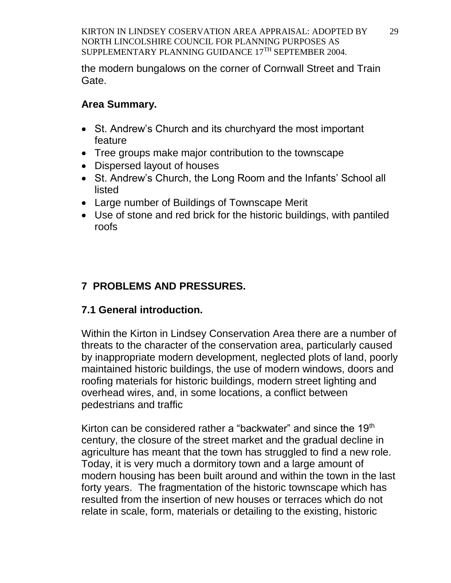the modern bungalows on the corner of Cornwall Street and Train Gate.

# **Area Summary.**

- St. Andrew's Church and its churchyard the most important feature
- Tree groups make major contribution to the townscape
- Dispersed layout of houses
- St. Andrew's Church, the Long Room and the Infants' School all listed
- Large number of Buildings of Townscape Merit
- Use of stone and red brick for the historic buildings, with pantiled roofs

# **7 PROBLEMS AND PRESSURES.**

# **7.1 General introduction.**

Within the Kirton in Lindsey Conservation Area there are a number of threats to the character of the conservation area, particularly caused by inappropriate modern development, neglected plots of land, poorly maintained historic buildings, the use of modern windows, doors and roofing materials for historic buildings, modern street lighting and overhead wires, and, in some locations, a conflict between pedestrians and traffic

Kirton can be considered rather a "backwater" and since the 19<sup>th</sup> century, the closure of the street market and the gradual decline in agriculture has meant that the town has struggled to find a new role. Today, it is very much a dormitory town and a large amount of modern housing has been built around and within the town in the last forty years. The fragmentation of the historic townscape which has resulted from the insertion of new houses or terraces which do not relate in scale, form, materials or detailing to the existing, historic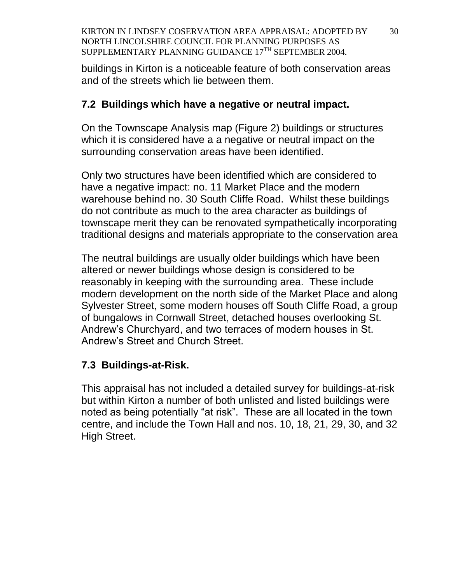buildings in Kirton is a noticeable feature of both conservation areas and of the streets which lie between them.

#### **7.2 Buildings which have a negative or neutral impact.**

On the Townscape Analysis map (Figure 2) buildings or structures which it is considered have a a negative or neutral impact on the surrounding conservation areas have been identified.

Only two structures have been identified which are considered to have a negative impact: no. 11 Market Place and the modern warehouse behind no. 30 South Cliffe Road. Whilst these buildings do not contribute as much to the area character as buildings of townscape merit they can be renovated sympathetically incorporating traditional designs and materials appropriate to the conservation area

The neutral buildings are usually older buildings which have been altered or newer buildings whose design is considered to be reasonably in keeping with the surrounding area. These include modern development on the north side of the Market Place and along Sylvester Street, some modern houses off South Cliffe Road, a group of bungalows in Cornwall Street, detached houses overlooking St. Andrew's Churchyard, and two terraces of modern houses in St. Andrew's Street and Church Street.

## **7.3 Buildings-at-Risk.**

This appraisal has not included a detailed survey for buildings-at-risk but within Kirton a number of both unlisted and listed buildings were noted as being potentially "at risk". These are all located in the town centre, and include the Town Hall and nos. 10, 18, 21, 29, 30, and 32 High Street.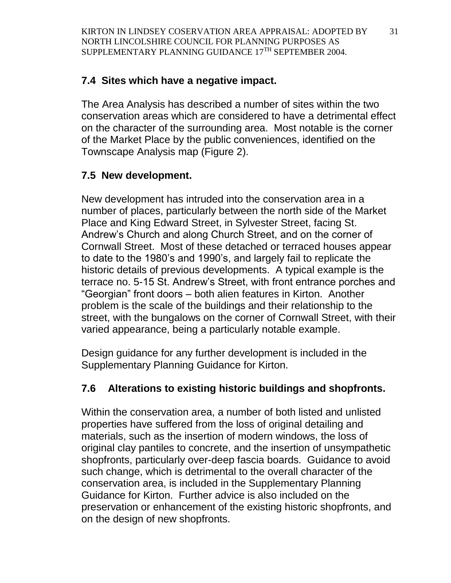# **7.4 Sites which have a negative impact.**

The Area Analysis has described a number of sites within the two conservation areas which are considered to have a detrimental effect on the character of the surrounding area. Most notable is the corner of the Market Place by the public conveniences, identified on the Townscape Analysis map (Figure 2).

# **7.5 New development.**

New development has intruded into the conservation area in a number of places, particularly between the north side of the Market Place and King Edward Street, in Sylvester Street, facing St. Andrew's Church and along Church Street, and on the corner of Cornwall Street. Most of these detached or terraced houses appear to date to the 1980's and 1990's, and largely fail to replicate the historic details of previous developments. A typical example is the terrace no. 5-15 St. Andrew's Street, with front entrance porches and "Georgian" front doors – both alien features in Kirton. Another problem is the scale of the buildings and their relationship to the street, with the bungalows on the corner of Cornwall Street, with their varied appearance, being a particularly notable example.

Design guidance for any further development is included in the Supplementary Planning Guidance for Kirton.

# **7.6 Alterations to existing historic buildings and shopfronts.**

Within the conservation area, a number of both listed and unlisted properties have suffered from the loss of original detailing and materials, such as the insertion of modern windows, the loss of original clay pantiles to concrete, and the insertion of unsympathetic shopfronts, particularly over-deep fascia boards. Guidance to avoid such change, which is detrimental to the overall character of the conservation area, is included in the Supplementary Planning Guidance for Kirton. Further advice is also included on the preservation or enhancement of the existing historic shopfronts, and on the design of new shopfronts.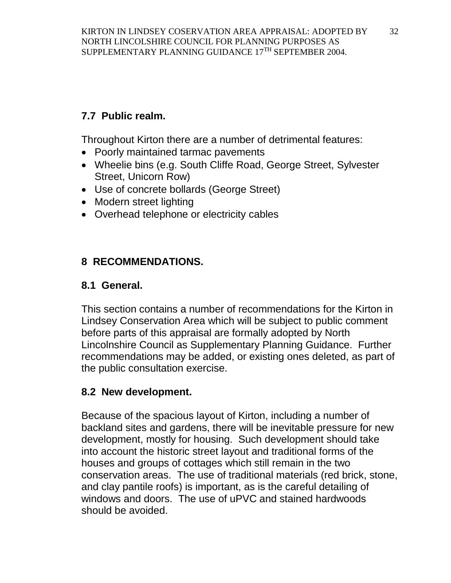# **7.7 Public realm.**

Throughout Kirton there are a number of detrimental features:

- Poorly maintained tarmac pavements
- Wheelie bins (e.g. South Cliffe Road, George Street, Sylvester Street, Unicorn Row)
- Use of concrete bollards (George Street)
- Modern street lighting
- Overhead telephone or electricity cables

# **8 RECOMMENDATIONS.**

# **8.1 General.**

This section contains a number of recommendations for the Kirton in Lindsey Conservation Area which will be subject to public comment before parts of this appraisal are formally adopted by North Lincolnshire Council as Supplementary Planning Guidance. Further recommendations may be added, or existing ones deleted, as part of the public consultation exercise.

# **8.2 New development.**

Because of the spacious layout of Kirton, including a number of backland sites and gardens, there will be inevitable pressure for new development, mostly for housing. Such development should take into account the historic street layout and traditional forms of the houses and groups of cottages which still remain in the two conservation areas. The use of traditional materials (red brick, stone, and clay pantile roofs) is important, as is the careful detailing of windows and doors. The use of uPVC and stained hardwoods should be avoided.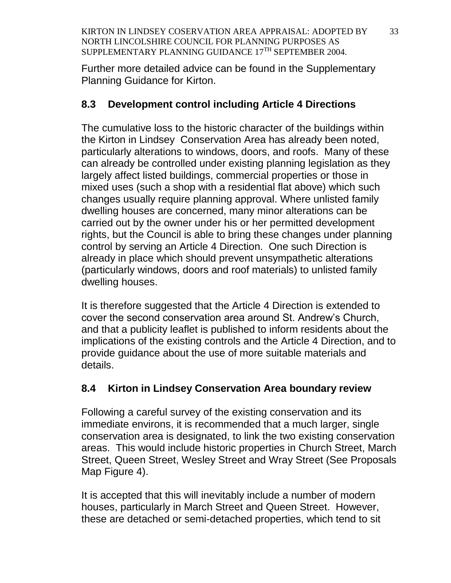Further more detailed advice can be found in the Supplementary Planning Guidance for Kirton.

# **8.3 Development control including Article 4 Directions**

The cumulative loss to the historic character of the buildings within the Kirton in Lindsey Conservation Area has already been noted, particularly alterations to windows, doors, and roofs. Many of these can already be controlled under existing planning legislation as they largely affect listed buildings, commercial properties or those in mixed uses (such a shop with a residential flat above) which such changes usually require planning approval. Where unlisted family dwelling houses are concerned, many minor alterations can be carried out by the owner under his or her permitted development rights, but the Council is able to bring these changes under planning control by serving an Article 4 Direction. One such Direction is already in place which should prevent unsympathetic alterations (particularly windows, doors and roof materials) to unlisted family dwelling houses.

It is therefore suggested that the Article 4 Direction is extended to cover the second conservation area around St. Andrew's Church, and that a publicity leaflet is published to inform residents about the implications of the existing controls and the Article 4 Direction, and to provide guidance about the use of more suitable materials and details.

# **8.4 Kirton in Lindsey Conservation Area boundary review**

Following a careful survey of the existing conservation and its immediate environs, it is recommended that a much larger, single conservation area is designated, to link the two existing conservation areas. This would include historic properties in Church Street, March Street, Queen Street, Wesley Street and Wray Street (See Proposals Map Figure 4).

It is accepted that this will inevitably include a number of modern houses, particularly in March Street and Queen Street. However, these are detached or semi-detached properties, which tend to sit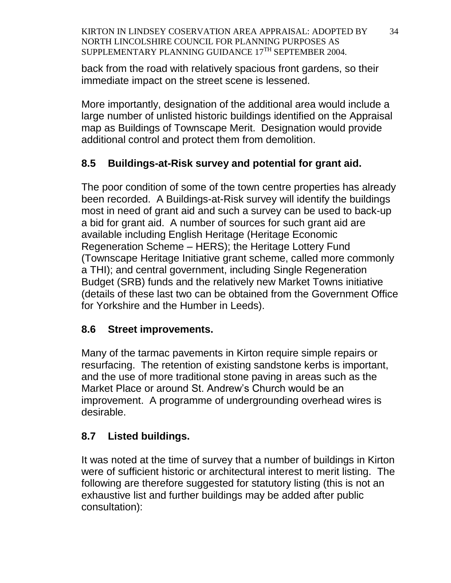back from the road with relatively spacious front gardens, so their immediate impact on the street scene is lessened.

More importantly, designation of the additional area would include a large number of unlisted historic buildings identified on the Appraisal map as Buildings of Townscape Merit. Designation would provide additional control and protect them from demolition.

# **8.5 Buildings-at-Risk survey and potential for grant aid.**

The poor condition of some of the town centre properties has already been recorded. A Buildings-at-Risk survey will identify the buildings most in need of grant aid and such a survey can be used to back-up a bid for grant aid. A number of sources for such grant aid are available including English Heritage (Heritage Economic Regeneration Scheme – HERS); the Heritage Lottery Fund (Townscape Heritage Initiative grant scheme, called more commonly a THI); and central government, including Single Regeneration Budget (SRB) funds and the relatively new Market Towns initiative (details of these last two can be obtained from the Government Office for Yorkshire and the Humber in Leeds).

# **8.6 Street improvements.**

Many of the tarmac pavements in Kirton require simple repairs or resurfacing. The retention of existing sandstone kerbs is important, and the use of more traditional stone paving in areas such as the Market Place or around St. Andrew's Church would be an improvement. A programme of undergrounding overhead wires is desirable.

# **8.7 Listed buildings.**

It was noted at the time of survey that a number of buildings in Kirton were of sufficient historic or architectural interest to merit listing. The following are therefore suggested for statutory listing (this is not an exhaustive list and further buildings may be added after public consultation):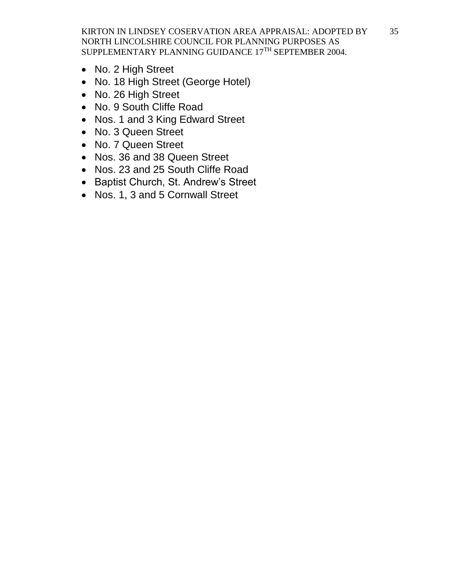- No. 2 High Street
- No. 18 High Street (George Hotel)
- No. 26 High Street
- No. 9 South Cliffe Road
- Nos. 1 and 3 King Edward Street
- No. 3 Queen Street
- No. 7 Queen Street
- Nos. 36 and 38 Queen Street
- Nos. 23 and 25 South Cliffe Road
- Baptist Church, St. Andrew's Street
- Nos. 1, 3 and 5 Cornwall Street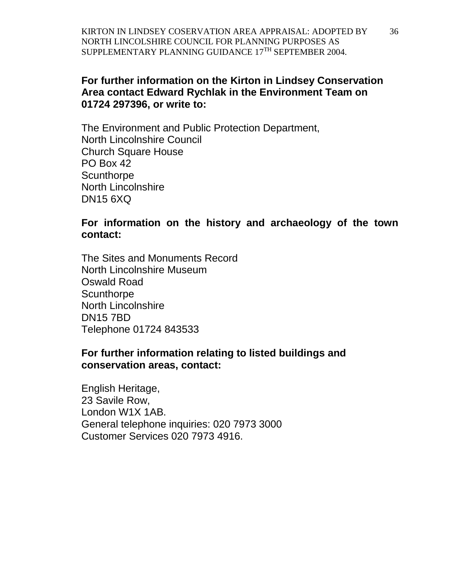#### **For further information on the Kirton in Lindsey Conservation Area contact Edward Rychlak in the Environment Team on 01724 297396, or write to:**

The Environment and Public Protection Department, North Lincolnshire Council Church Square House PO Box 42 **Scunthorpe** North Lincolnshire DN15 6XQ

#### **For information on the history and archaeology of the town contact:**

The Sites and Monuments Record North Lincolnshire Museum Oswald Road **Scunthorpe** North Lincolnshire DN15 7BD Telephone 01724 843533

#### **For further information relating to listed buildings and conservation areas, contact:**

English Heritage, 23 Savile Row, London W1X 1AB. General telephone inquiries: 020 7973 3000 Customer Services 020 7973 4916.